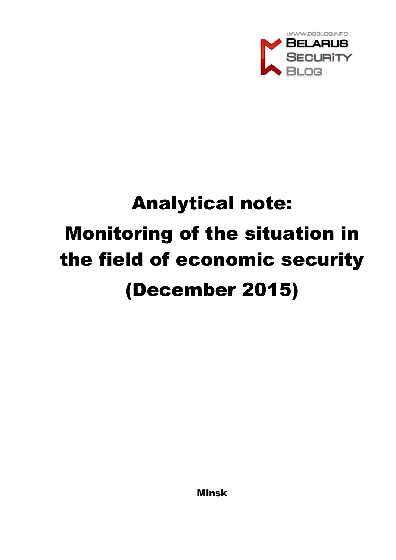

# Analytical note: Monitoring of the situation in the field of economic security (December 2015)

Minsk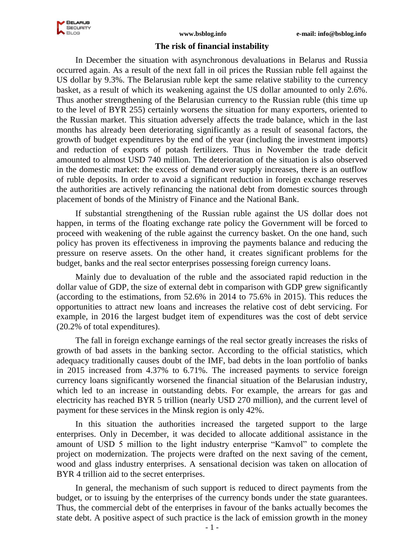

## **The risk of financial instability**

In December the situation with asynchronous devaluations in Belarus and Russia occurred again. As a result of the next fall in oil prices the Russian ruble fell against the US dollar by 9.3%. The Belarusian ruble kept the same relative stability to the currency basket, as a result of which its weakening against the US dollar amounted to only 2.6%. Thus another strengthening of the Belarusian currency to the Russian ruble (this time up to the level of BYR 255) certainly worsens the situation for many exporters, oriented to the Russian market. This situation adversely affects the trade balance, which in the last months has already been deteriorating significantly as a result of seasonal factors, the growth of budget expenditures by the end of the year (including the investment imports) and reduction of exports of potash fertilizers. Thus in November the trade deficit amounted to almost USD 740 million. The deterioration of the situation is also observed in the domestic market: the excess of demand over supply increases, there is an outflow of ruble deposits. In order to avoid a significant reduction in foreign exchange reserves the authorities are actively refinancing the national debt from domestic sources through placement of bonds of the Ministry of Finance and the National Bank.

If substantial strengthening of the Russian ruble against the US dollar does not happen, in terms of the floating exchange rate policy the Government will be forced to proceed with weakening of the ruble against the currency basket. On the one hand, such policy has proven its effectiveness in improving the payments balance and reducing the pressure on reserve assets. On the other hand, it creates significant problems for the budget, banks and the real sector enterprises possessing foreign currency loans.

Mainly due to devaluation of the ruble and the associated rapid reduction in the dollar value of GDP, the size of external debt in comparison with GDP grew significantly (according to the estimations, from 52.6% in 2014 to 75.6% in 2015). This reduces the opportunities to attract new loans and increases the relative cost of debt servicing. For example, in 2016 the largest budget item of expenditures was the cost of debt service (20.2% of total expenditures).

The fall in foreign exchange earnings of the real sector greatly increases the risks of growth of bad assets in the banking sector. According to the official statistics, which adequacy traditionally causes doubt of the IMF, bad debts in the loan portfolio of banks in 2015 increased from 4.37% to 6.71%. The increased payments to service foreign currency loans significantly worsened the financial situation of the Belarusian industry, which led to an increase in outstanding debts. For example, the arrears for gas and electricity has reached BYR 5 trillion (nearly USD 270 million), and the current level of payment for these services in the Minsk region is only 42%.

In this situation the authorities increased the targeted support to the large enterprises. Only in December, it was decided to allocate additional assistance in the amount of USD 5 million to the light industry enterprise "Kamvol" to complete the project on modernization. The projects were drafted on the next saving of the cement, wood and glass industry enterprises. A sensational decision was taken on allocation of BYR 4 trillion aid to the secret enterprises.

In general, the mechanism of such support is reduced to direct payments from the budget, or to issuing by the enterprises of the currency bonds under the state guarantees. Thus, the commercial debt of the enterprises in favour of the banks actually becomes the state debt. A positive aspect of such practice is the lack of emission growth in the money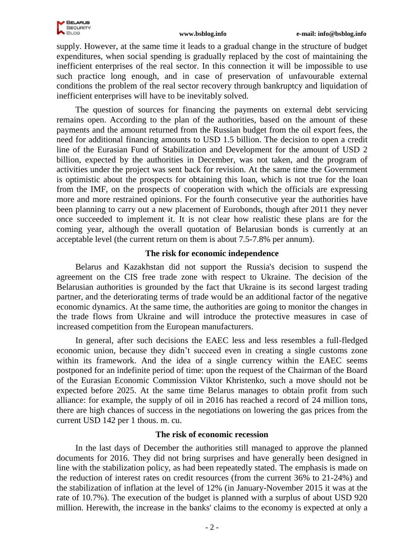

supply. However, at the same time it leads to a gradual change in the structure of budget expenditures, when social spending is gradually replaced by the cost of maintaining the inefficient enterprises of the real sector. In this connection it will be impossible to use such practice long enough, and in case of preservation of unfavourable external conditions the problem of the real sector recovery through bankruptcy and liquidation of inefficient enterprises will have to be inevitably solved.

The question of sources for financing the payments on external debt servicing remains open. According to the plan of the authorities, based on the amount of these payments and the amount returned from the Russian budget from the oil export fees, the need for additional financing amounts to USD 1.5 billion. The decision to open a credit line of the Eurasian Fund of Stabilization and Development for the amount of USD 2 billion, expected by the authorities in December, was not taken, and the program of activities under the project was sent back for revision. At the same time the Government is optimistic about the prospects for obtaining this loan, which is not true for the loan from the IMF, on the prospects of cooperation with which the officials are expressing more and more restrained opinions. For the fourth consecutive year the authorities have been planning to carry out a new placement of Eurobonds, though after 2011 they never once succeeded to implement it. It is not clear how realistic these plans are for the coming year, although the overall quotation of Belarusian bonds is currently at an acceptable level (the current return on them is about 7.5-7.8% per annum).

## **The risk for economic independence**

Belarus and Kazakhstan did not support the Russia's decision to suspend the agreement on the CIS free trade zone with respect to Ukraine. The decision of the Belarusian authorities is grounded by the fact that Ukraine is its second largest trading partner, and the deteriorating terms of trade would be an additional factor of the negative economic dynamics. At the same time, the authorities are going to monitor the changes in the trade flows from Ukraine and will introduce the protective measures in case of increased competition from the European manufacturers.

In general, after such decisions the EAEC less and less resembles a full-fledged economic union, because they didn't succeed even in creating a single customs zone within its framework. And the idea of a single currency within the EAEC seems postponed for an indefinite period of time: upon the request of the Chairman of the Board of the Eurasian Economic Commission Viktor Khristenko, such a move should not be expected before 2025. At the same time Belarus manages to obtain profit from such alliance: for example, the supply of oil in 2016 has reached a record of 24 million tons, there are high chances of success in the negotiations on lowering the gas prices from the current USD 142 per 1 thous. m. cu.

## **The risk of economic recession**

In the last days of December the authorities still managed to approve the planned documents for 2016. They did not bring surprises and have generally been designed in line with the stabilization policy, as had been repeatedly stated. The emphasis is made on the reduction of interest rates on credit resources (from the current 36% to 21-24%) and the stabilization of inflation at the level of 12% (in January-November 2015 it was at the rate of 10.7%). The execution of the budget is planned with a surplus of about USD 920 million. Herewith, the increase in the banks' claims to the economy is expected at only a